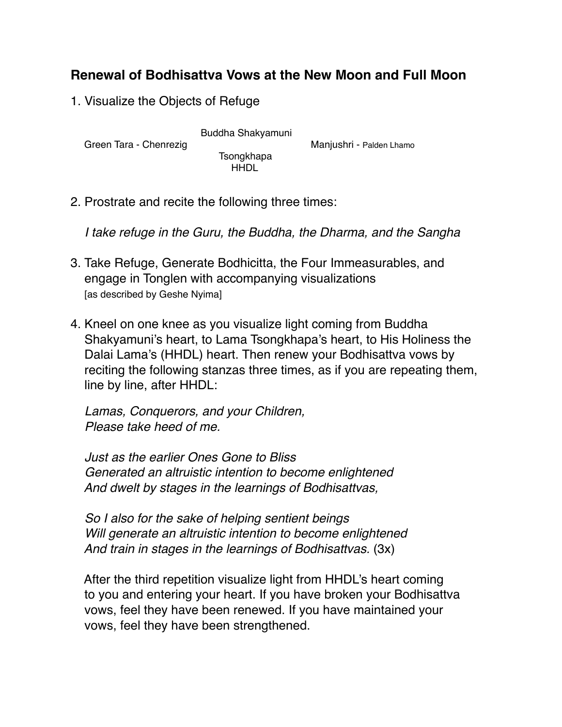## **Renewal of Bodhisattva Vows at the New Moon and Full Moon**

1. Visualize the Objects of Refuge

Buddha Shakyamuni<br>Green Tara - Chenrezig

Manjushri - Palden Lhamo

 Tsongkhapa HHDL

2. Prostrate and recite the following three times:

 *I take refuge in the Guru, the Buddha, the Dharma, and the Sangha*

- 3. Take Refuge, Generate Bodhicitta, the Four Immeasurables, and engage in Tonglen with accompanying visualizations [as described by Geshe Nyima]
- 4. Kneel on one knee as you visualize light coming from Buddha Shakyamuni's heart, to Lama Tsongkhapa's heart, to His Holiness the Dalai Lama's (HHDL) heart. Then renew your Bodhisattva vows by reciting the following stanzas three times, as if you are repeating them, line by line, after HHDL:

 *Lamas, Conquerors, and your Children, Please take heed of me.*

 *Just as the earlier Ones Gone to Bliss Generated an altruistic intention to become enlightened And dwelt by stages in the learnings of Bodhisattvas,* 

 *So I also for the sake of helping sentient beings Will generate an altruistic intention to become enlightened And train in stages in the learnings of Bodhisattvas.* (3x)

 After the third repetition visualize light from HHDL's heart coming to you and entering your heart. If you have broken your Bodhisattva vows, feel they have been renewed. If you have maintained your vows, feel they have been strengthened.